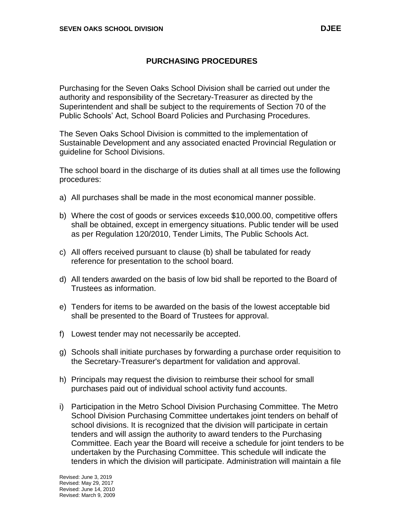Purchasing for the Seven Oaks School Division shall be carried out under the authority and responsibility of the Secretary-Treasurer as directed by the Superintendent and shall be subject to the requirements of Section 70 of the Public Schools' Act, School Board Policies and Purchasing Procedures.

The Seven Oaks School Division is committed to the implementation of Sustainable Development and any associated enacted Provincial Regulation or guideline for School Divisions.

The school board in the discharge of its duties shall at all times use the following procedures:

- a) All purchases shall be made in the most economical manner possible.
- b) Where the cost of goods or services exceeds \$10,000.00, competitive offers shall be obtained, except in emergency situations. Public tender will be used as per Regulation 120/2010, Tender Limits, The Public Schools Act.
- c) All offers received pursuant to clause (b) shall be tabulated for ready reference for presentation to the school board.
- d) All tenders awarded on the basis of low bid shall be reported to the Board of Trustees as information.
- e) Tenders for items to be awarded on the basis of the lowest acceptable bid shall be presented to the Board of Trustees for approval.
- f) Lowest tender may not necessarily be accepted.
- g) Schools shall initiate purchases by forwarding a purchase order requisition to the Secretary-Treasurer's department for validation and approval.
- h) Principals may request the division to reimburse their school for small purchases paid out of individual school activity fund accounts.
- i) Participation in the Metro School Division Purchasing Committee. The Metro School Division Purchasing Committee undertakes joint tenders on behalf of school divisions. It is recognized that the division will participate in certain tenders and will assign the authority to award tenders to the Purchasing Committee. Each year the Board will receive a schedule for joint tenders to be undertaken by the Purchasing Committee. This schedule will indicate the tenders in which the division will participate. Administration will maintain a file